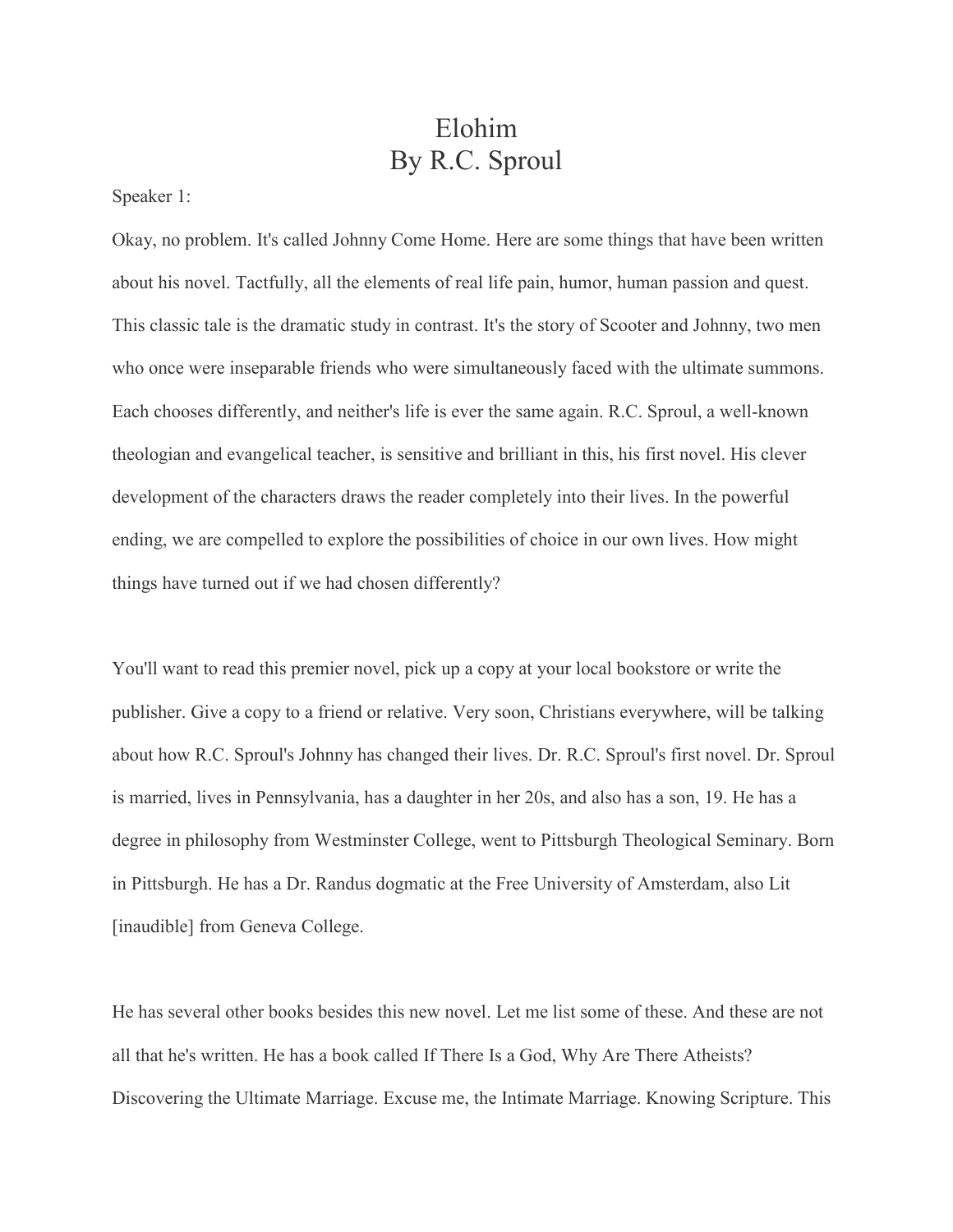## Elohim By R.C. Sproul

Speaker 1:

Okay, no problem. It's called Johnny Come Home. Here are some things that have been written about his novel. Tactfully, all the elements of real life pain, humor, human passion and quest. This classic tale is the dramatic study in contrast. It's the story of Scooter and Johnny, two men who once were inseparable friends who were simultaneously faced with the ultimate summons. Each chooses differently, and neither's life is ever the same again. R.C. Sproul, a well-known theologian and evangelical teacher, is sensitive and brilliant in this, his first novel. His clever development of the characters draws the reader completely into their lives. In the powerful ending, we are compelled to explore the possibilities of choice in our own lives. How might things have turned out if we had chosen differently?

You'll want to read this premier novel, pick up a copy at your local bookstore or write the publisher. Give a copy to a friend or relative. Very soon, Christians everywhere, will be talking about how R.C. Sproul's Johnny has changed their lives. Dr. R.C. Sproul's first novel. Dr. Sproul is married, lives in Pennsylvania, has a daughter in her 20s, and also has a son, 19. He has a degree in philosophy from Westminster College, went to Pittsburgh Theological Seminary. Born in Pittsburgh. He has a Dr. Randus dogmatic at the Free University of Amsterdam, also Lit [inaudible] from Geneva College.

He has several other books besides this new novel. Let me list some of these. And these are not all that he's written. He has a book called If There Is a God, Why Are There Atheists? Discovering the Ultimate Marriage. Excuse me, the Intimate Marriage. Knowing Scripture. This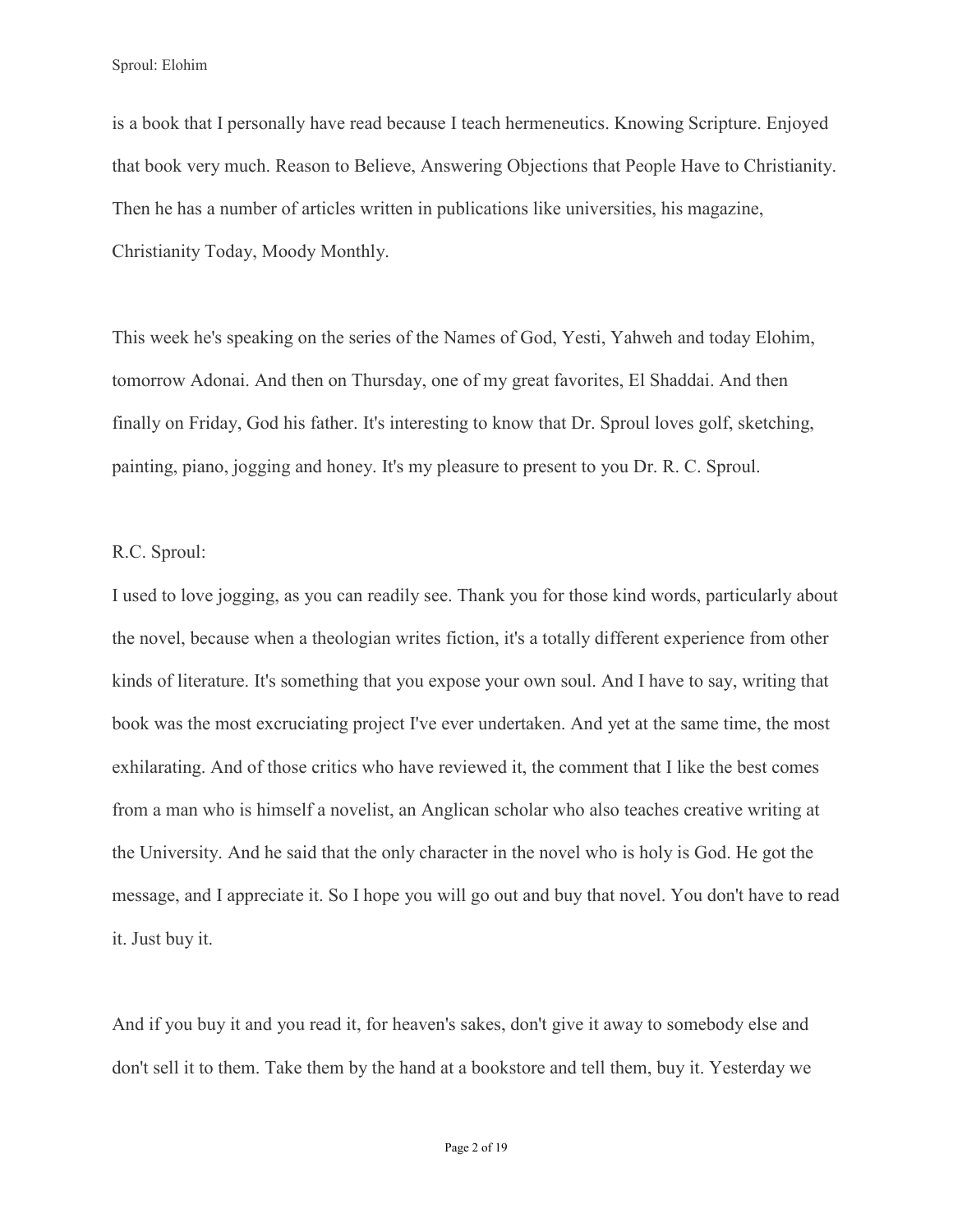is a book that I personally have read because I teach hermeneutics. Knowing Scripture. Enjoyed that book very much. Reason to Believe, Answering Objections that People Have to Christianity. Then he has a number of articles written in publications like universities, his magazine, Christianity Today, Moody Monthly.

This week he's speaking on the series of the Names of God, Yesti, Yahweh and today Elohim, tomorrow Adonai. And then on Thursday, one of my great favorites, El Shaddai. And then finally on Friday, God his father. It's interesting to know that Dr. Sproul loves golf, sketching, painting, piano, jogging and honey. It's my pleasure to present to you Dr. R. C. Sproul.

## R.C. Sproul:

I used to love jogging, as you can readily see. Thank you for those kind words, particularly about the novel, because when a theologian writes fiction, it's a totally different experience from other kinds of literature. It's something that you expose your own soul. And I have to say, writing that book was the most excruciating project I've ever undertaken. And yet at the same time, the most exhilarating. And of those critics who have reviewed it, the comment that I like the best comes from a man who is himself a novelist, an Anglican scholar who also teaches creative writing at the University. And he said that the only character in the novel who is holy is God. He got the message, and I appreciate it. So I hope you will go out and buy that novel. You don't have to read it. Just buy it.

And if you buy it and you read it, for heaven's sakes, don't give it away to somebody else and don't sell it to them. Take them by the hand at a bookstore and tell them, buy it. Yesterday we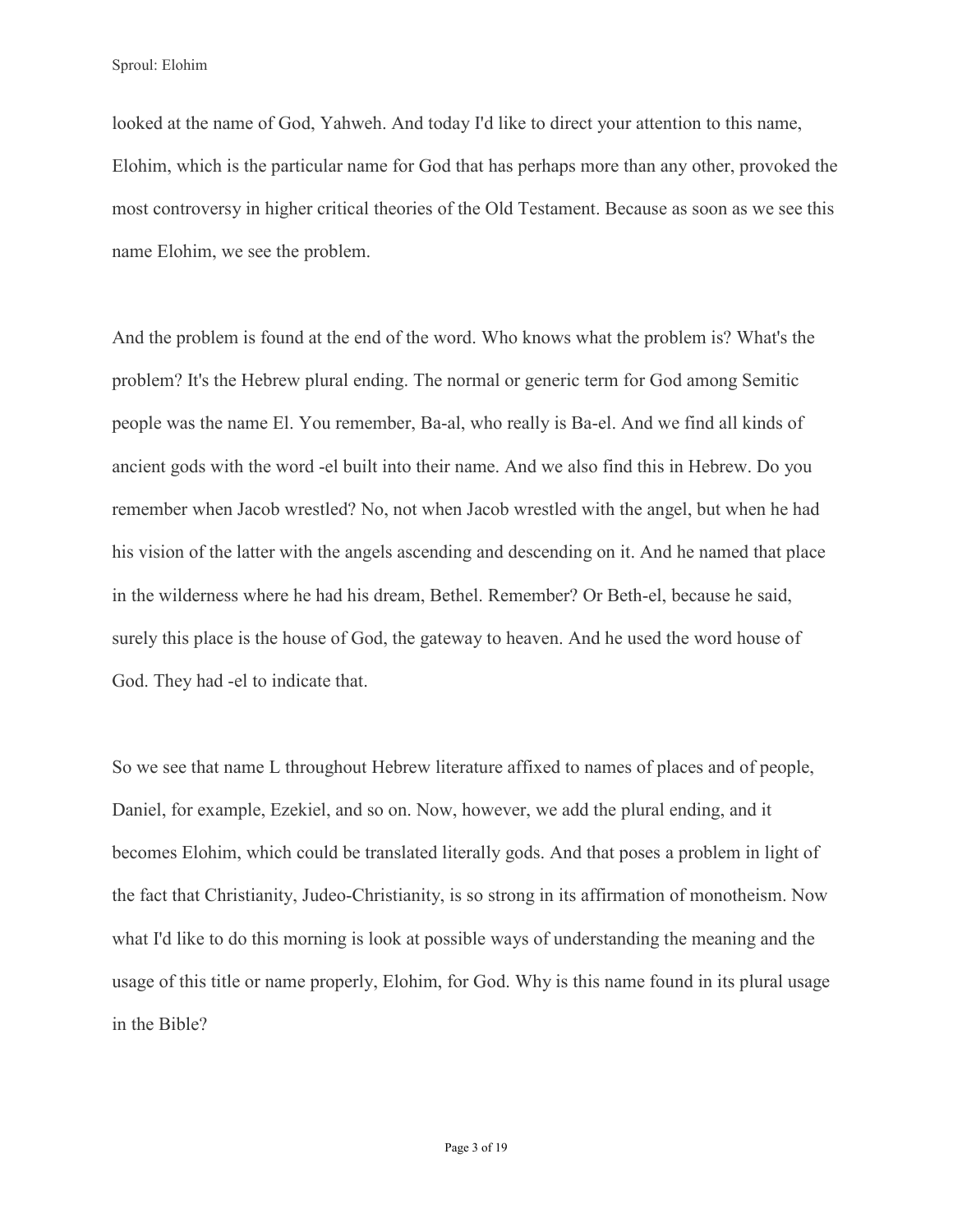looked at the name of God, Yahweh. And today I'd like to direct your attention to this name, Elohim, which is the particular name for God that has perhaps more than any other, provoked the most controversy in higher critical theories of the Old Testament. Because as soon as we see this name Elohim, we see the problem.

And the problem is found at the end of the word. Who knows what the problem is? What's the problem? It's the Hebrew plural ending. The normal or generic term for God among Semitic people was the name El. You remember, Ba-al, who really is Ba-el. And we find all kinds of ancient gods with the word -el built into their name. And we also find this in Hebrew. Do you remember when Jacob wrestled? No, not when Jacob wrestled with the angel, but when he had his vision of the latter with the angels ascending and descending on it. And he named that place in the wilderness where he had his dream, Bethel. Remember? Or Beth-el, because he said, surely this place is the house of God, the gateway to heaven. And he used the word house of God. They had -el to indicate that.

So we see that name L throughout Hebrew literature affixed to names of places and of people, Daniel, for example, Ezekiel, and so on. Now, however, we add the plural ending, and it becomes Elohim, which could be translated literally gods. And that poses a problem in light of the fact that Christianity, Judeo-Christianity, is so strong in its affirmation of monotheism. Now what I'd like to do this morning is look at possible ways of understanding the meaning and the usage of this title or name properly, Elohim, for God. Why is this name found in its plural usage in the Bible?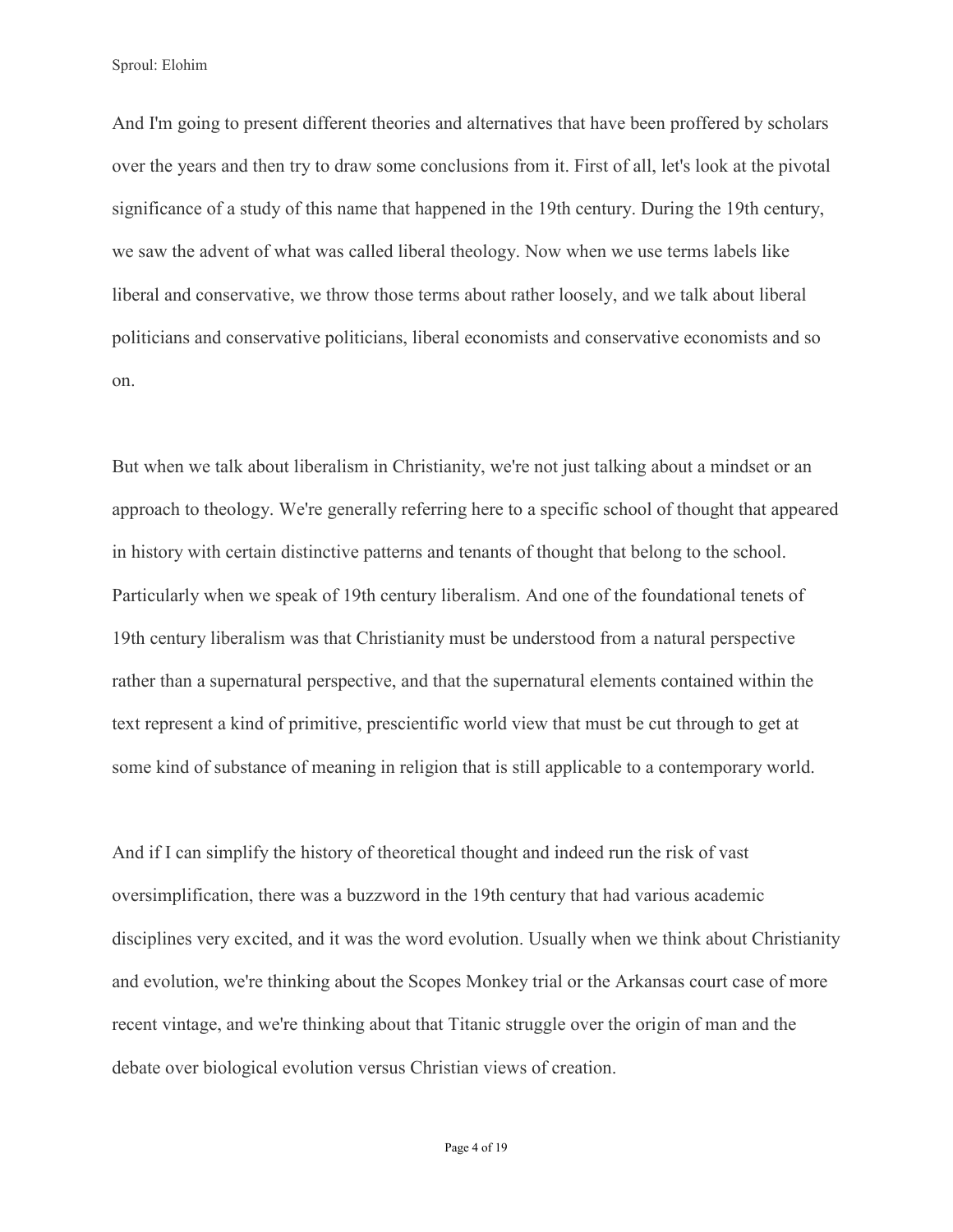And I'm going to present different theories and alternatives that have been proffered by scholars over the years and then try to draw some conclusions from it. First of all, let's look at the pivotal significance of a study of this name that happened in the 19th century. During the 19th century, we saw the advent of what was called liberal theology. Now when we use terms labels like liberal and conservative, we throw those terms about rather loosely, and we talk about liberal politicians and conservative politicians, liberal economists and conservative economists and so on.

But when we talk about liberalism in Christianity, we're not just talking about a mindset or an approach to theology. We're generally referring here to a specific school of thought that appeared in history with certain distinctive patterns and tenants of thought that belong to the school. Particularly when we speak of 19th century liberalism. And one of the foundational tenets of 19th century liberalism was that Christianity must be understood from a natural perspective rather than a supernatural perspective, and that the supernatural elements contained within the text represent a kind of primitive, prescientific world view that must be cut through to get at some kind of substance of meaning in religion that is still applicable to a contemporary world.

And if I can simplify the history of theoretical thought and indeed run the risk of vast oversimplification, there was a buzzword in the 19th century that had various academic disciplines very excited, and it was the word evolution. Usually when we think about Christianity and evolution, we're thinking about the Scopes Monkey trial or the Arkansas court case of more recent vintage, and we're thinking about that Titanic struggle over the origin of man and the debate over biological evolution versus Christian views of creation.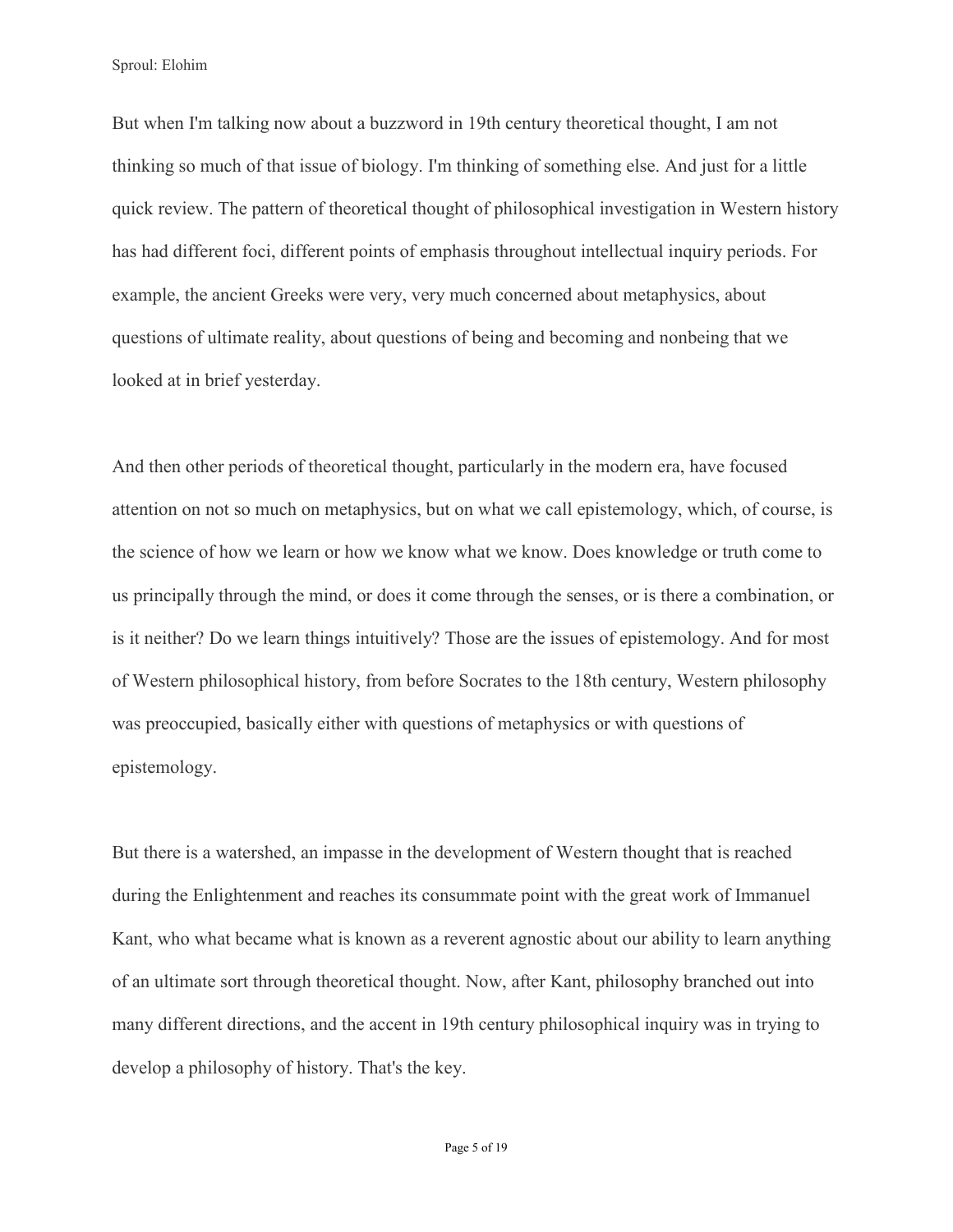But when I'm talking now about a buzzword in 19th century theoretical thought, I am not thinking so much of that issue of biology. I'm thinking of something else. And just for a little quick review. The pattern of theoretical thought of philosophical investigation in Western history has had different foci, different points of emphasis throughout intellectual inquiry periods. For example, the ancient Greeks were very, very much concerned about metaphysics, about questions of ultimate reality, about questions of being and becoming and nonbeing that we looked at in brief yesterday.

And then other periods of theoretical thought, particularly in the modern era, have focused attention on not so much on metaphysics, but on what we call epistemology, which, of course, is the science of how we learn or how we know what we know. Does knowledge or truth come to us principally through the mind, or does it come through the senses, or is there a combination, or is it neither? Do we learn things intuitively? Those are the issues of epistemology. And for most of Western philosophical history, from before Socrates to the 18th century, Western philosophy was preoccupied, basically either with questions of metaphysics or with questions of epistemology.

But there is a watershed, an impasse in the development of Western thought that is reached during the Enlightenment and reaches its consummate point with the great work of Immanuel Kant, who what became what is known as a reverent agnostic about our ability to learn anything of an ultimate sort through theoretical thought. Now, after Kant, philosophy branched out into many different directions, and the accent in 19th century philosophical inquiry was in trying to develop a philosophy of history. That's the key.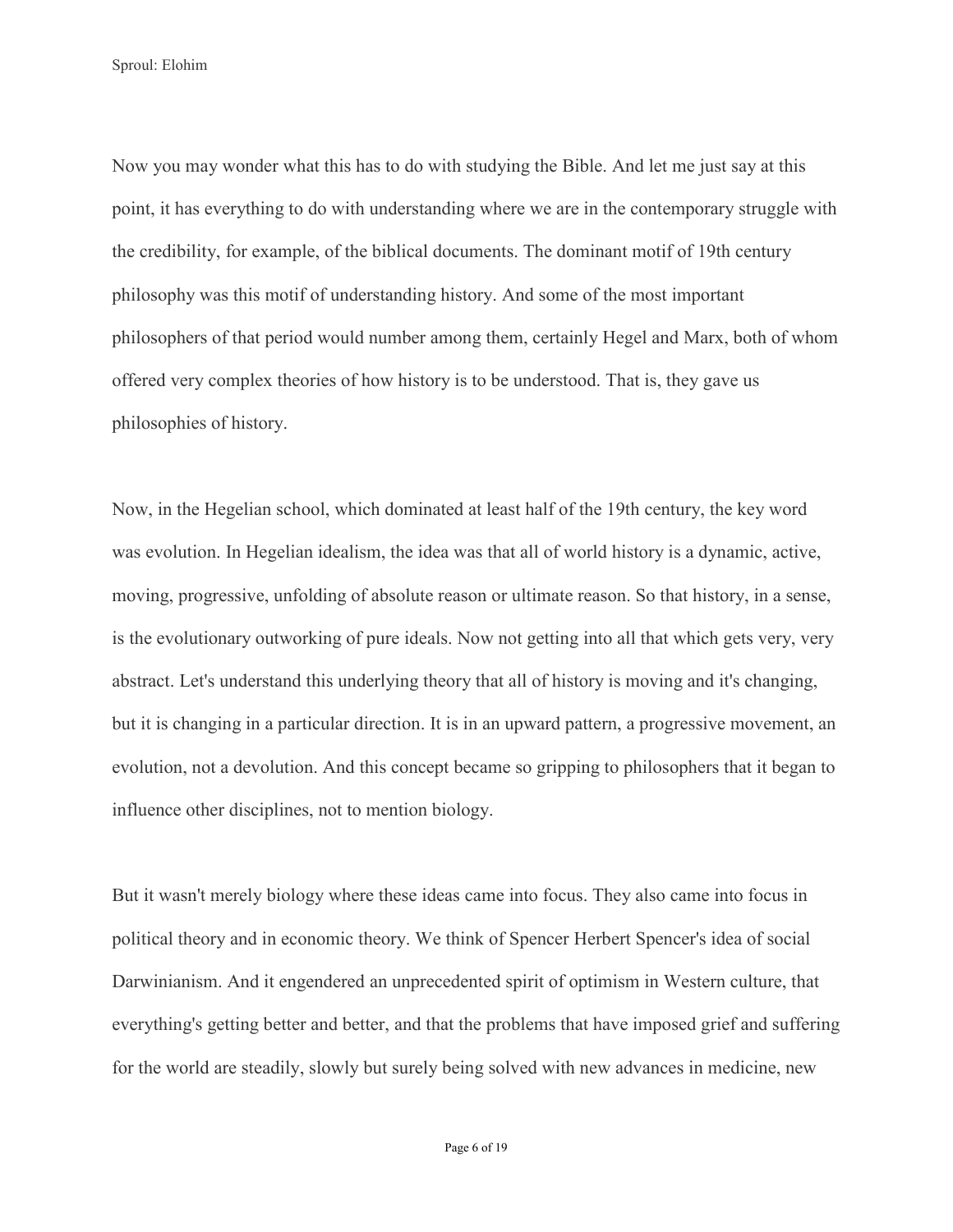Now you may wonder what this has to do with studying the Bible. And let me just say at this point, it has everything to do with understanding where we are in the contemporary struggle with the credibility, for example, of the biblical documents. The dominant motif of 19th century philosophy was this motif of understanding history. And some of the most important philosophers of that period would number among them, certainly Hegel and Marx, both of whom offered very complex theories of how history is to be understood. That is, they gave us philosophies of history.

Now, in the Hegelian school, which dominated at least half of the 19th century, the key word was evolution. In Hegelian idealism, the idea was that all of world history is a dynamic, active, moving, progressive, unfolding of absolute reason or ultimate reason. So that history, in a sense, is the evolutionary outworking of pure ideals. Now not getting into all that which gets very, very abstract. Let's understand this underlying theory that all of history is moving and it's changing, but it is changing in a particular direction. It is in an upward pattern, a progressive movement, an evolution, not a devolution. And this concept became so gripping to philosophers that it began to influence other disciplines, not to mention biology.

But it wasn't merely biology where these ideas came into focus. They also came into focus in political theory and in economic theory. We think of Spencer Herbert Spencer's idea of social Darwinianism. And it engendered an unprecedented spirit of optimism in Western culture, that everything's getting better and better, and that the problems that have imposed grief and suffering for the world are steadily, slowly but surely being solved with new advances in medicine, new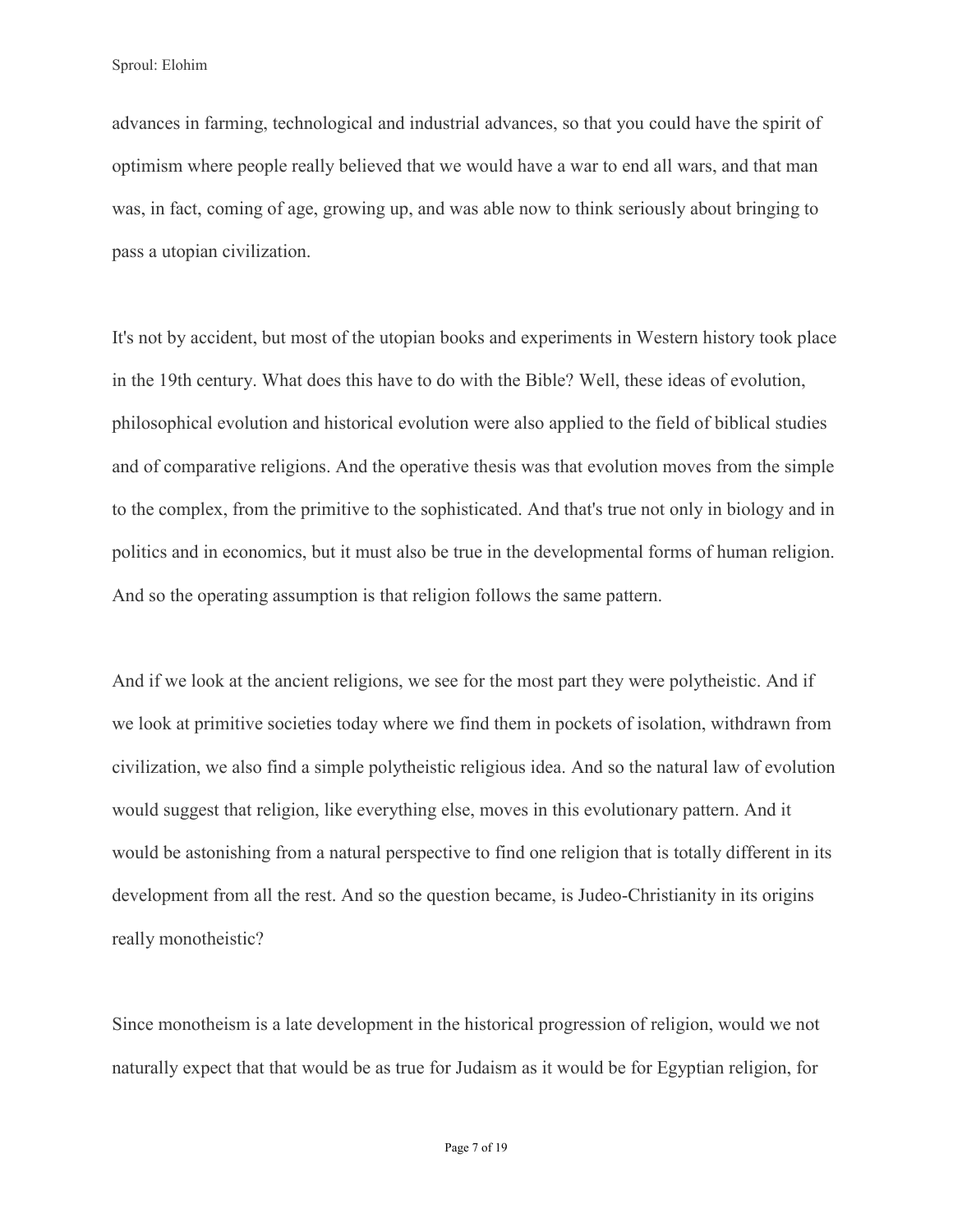advances in farming, technological and industrial advances, so that you could have the spirit of optimism where people really believed that we would have a war to end all wars, and that man was, in fact, coming of age, growing up, and was able now to think seriously about bringing to pass a utopian civilization.

It's not by accident, but most of the utopian books and experiments in Western history took place in the 19th century. What does this have to do with the Bible? Well, these ideas of evolution, philosophical evolution and historical evolution were also applied to the field of biblical studies and of comparative religions. And the operative thesis was that evolution moves from the simple to the complex, from the primitive to the sophisticated. And that's true not only in biology and in politics and in economics, but it must also be true in the developmental forms of human religion. And so the operating assumption is that religion follows the same pattern.

And if we look at the ancient religions, we see for the most part they were polytheistic. And if we look at primitive societies today where we find them in pockets of isolation, withdrawn from civilization, we also find a simple polytheistic religious idea. And so the natural law of evolution would suggest that religion, like everything else, moves in this evolutionary pattern. And it would be astonishing from a natural perspective to find one religion that is totally different in its development from all the rest. And so the question became, is Judeo-Christianity in its origins really monotheistic?

Since monotheism is a late development in the historical progression of religion, would we not naturally expect that that would be as true for Judaism as it would be for Egyptian religion, for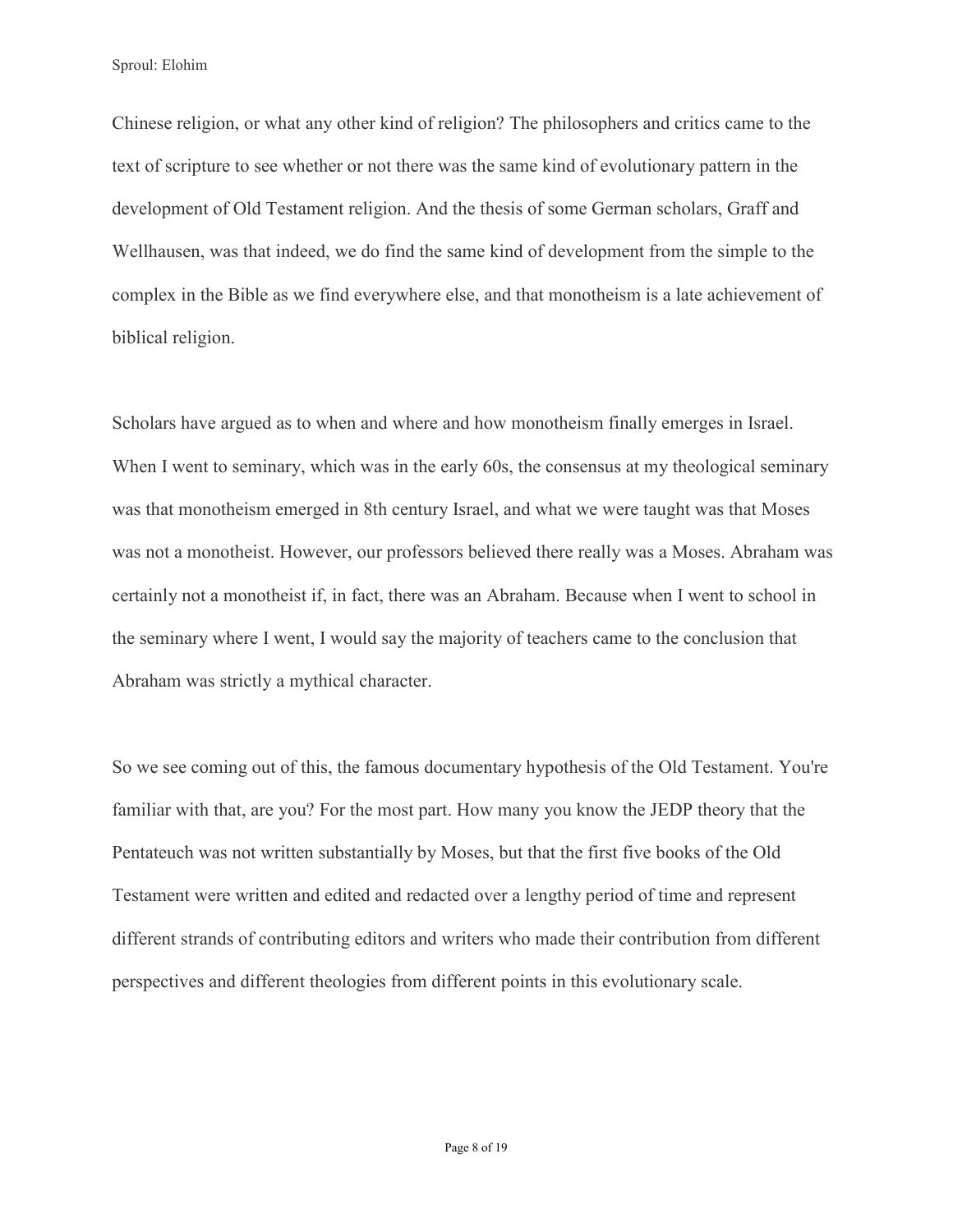Chinese religion, or what any other kind of religion? The philosophers and critics came to the text of scripture to see whether or not there was the same kind of evolutionary pattern in the development of Old Testament religion. And the thesis of some German scholars, Graff and Wellhausen, was that indeed, we do find the same kind of development from the simple to the complex in the Bible as we find everywhere else, and that monotheism is a late achievement of biblical religion.

Scholars have argued as to when and where and how monotheism finally emerges in Israel. When I went to seminary, which was in the early 60s, the consensus at my theological seminary was that monotheism emerged in 8th century Israel, and what we were taught was that Moses was not a monotheist. However, our professors believed there really was a Moses. Abraham was certainly not a monotheist if, in fact, there was an Abraham. Because when I went to school in the seminary where I went, I would say the majority of teachers came to the conclusion that Abraham was strictly a mythical character.

So we see coming out of this, the famous documentary hypothesis of the Old Testament. You're familiar with that, are you? For the most part. How many you know the JEDP theory that the Pentateuch was not written substantially by Moses, but that the first five books of the Old Testament were written and edited and redacted over a lengthy period of time and represent different strands of contributing editors and writers who made their contribution from different perspectives and different theologies from different points in this evolutionary scale.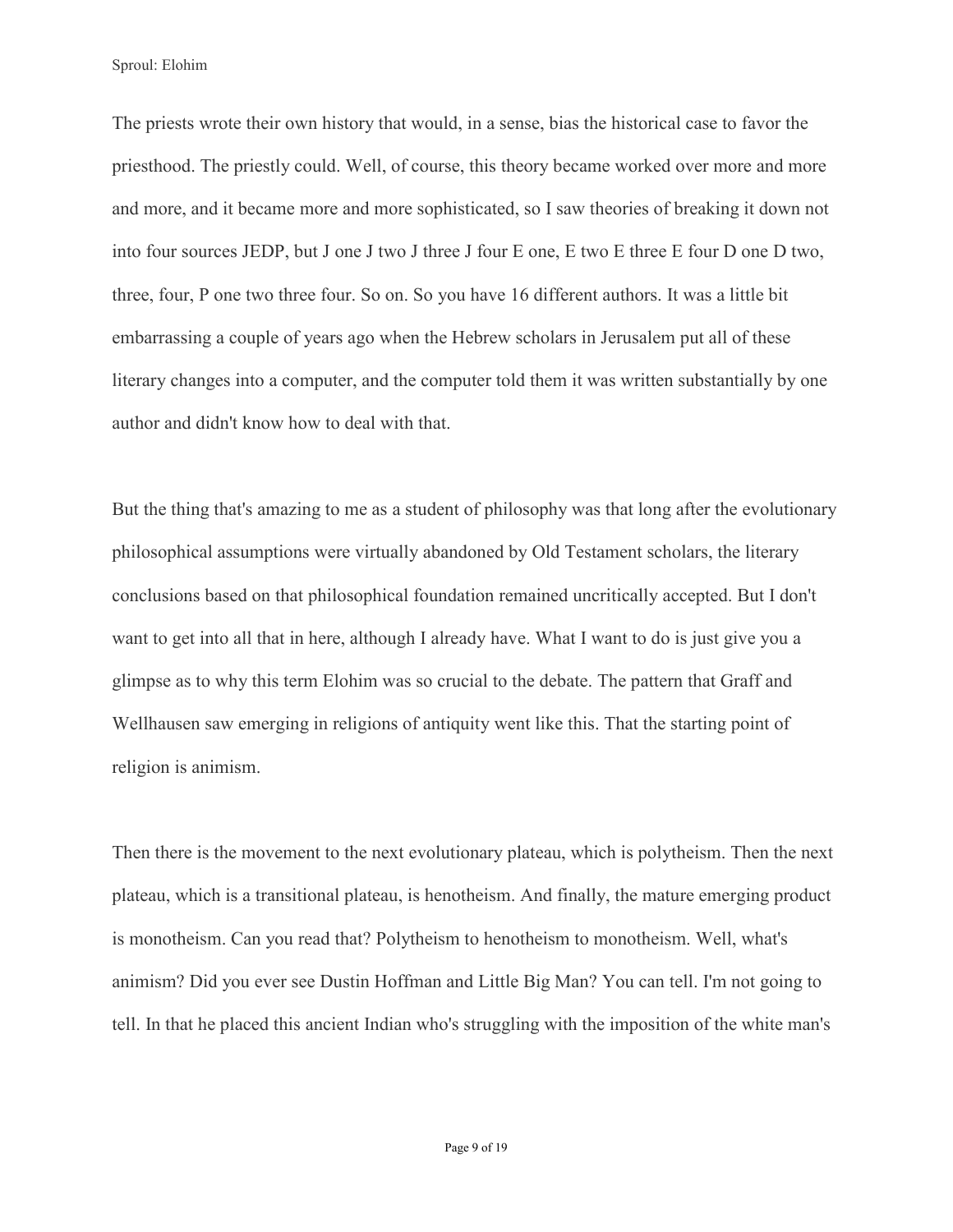The priests wrote their own history that would, in a sense, bias the historical case to favor the priesthood. The priestly could. Well, of course, this theory became worked over more and more and more, and it became more and more sophisticated, so I saw theories of breaking it down not into four sources JEDP, but J one J two J three J four E one, E two E three E four D one D two, three, four, P one two three four. So on. So you have 16 different authors. It was a little bit embarrassing a couple of years ago when the Hebrew scholars in Jerusalem put all of these literary changes into a computer, and the computer told them it was written substantially by one author and didn't know how to deal with that.

But the thing that's amazing to me as a student of philosophy was that long after the evolutionary philosophical assumptions were virtually abandoned by Old Testament scholars, the literary conclusions based on that philosophical foundation remained uncritically accepted. But I don't want to get into all that in here, although I already have. What I want to do is just give you a glimpse as to why this term Elohim was so crucial to the debate. The pattern that Graff and Wellhausen saw emerging in religions of antiquity went like this. That the starting point of religion is animism.

Then there is the movement to the next evolutionary plateau, which is polytheism. Then the next plateau, which is a transitional plateau, is henotheism. And finally, the mature emerging product is monotheism. Can you read that? Polytheism to henotheism to monotheism. Well, what's animism? Did you ever see Dustin Hoffman and Little Big Man? You can tell. I'm not going to tell. In that he placed this ancient Indian who's struggling with the imposition of the white man's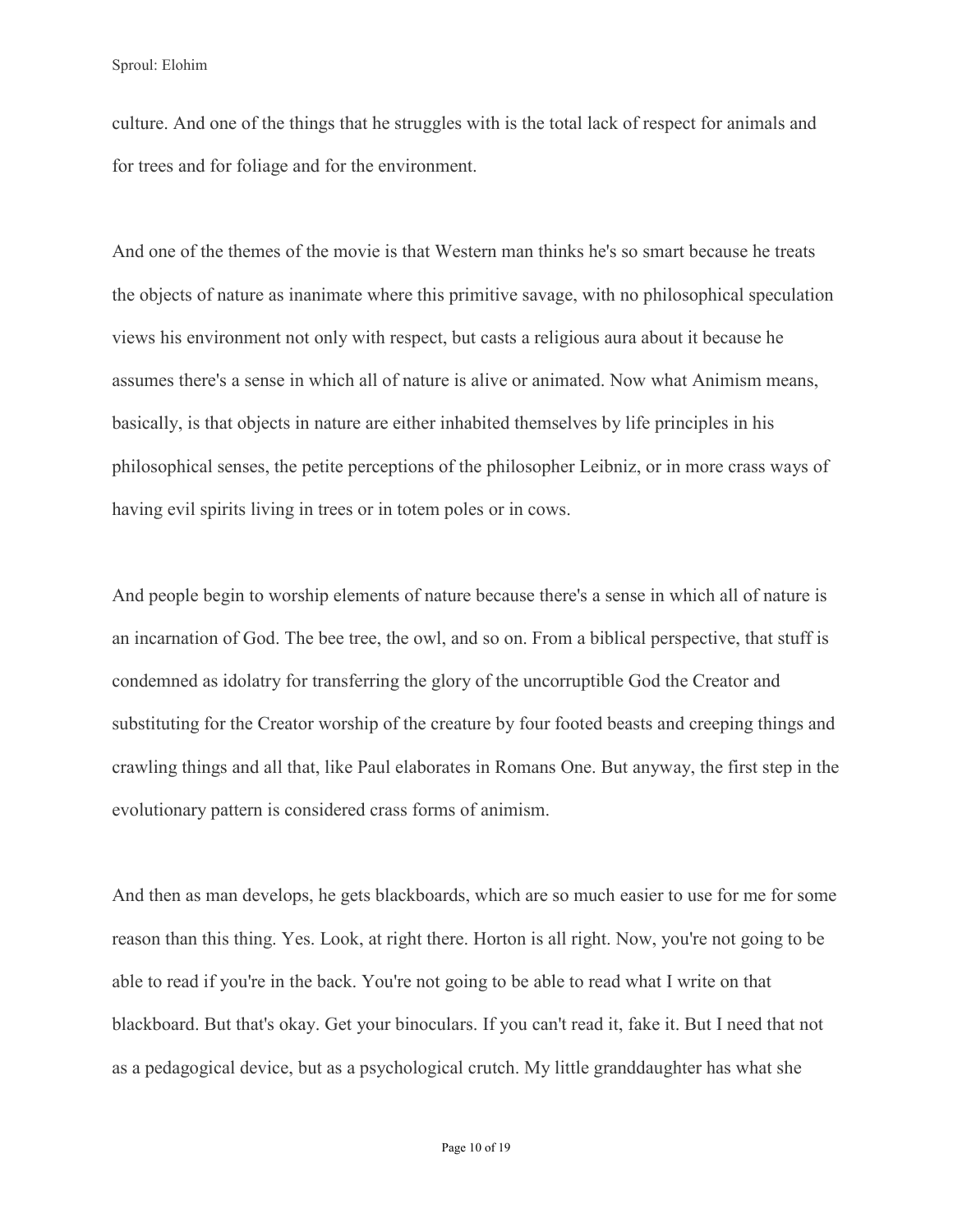culture. And one of the things that he struggles with is the total lack of respect for animals and for trees and for foliage and for the environment.

And one of the themes of the movie is that Western man thinks he's so smart because he treats the objects of nature as inanimate where this primitive savage, with no philosophical speculation views his environment not only with respect, but casts a religious aura about it because he assumes there's a sense in which all of nature is alive or animated. Now what Animism means, basically, is that objects in nature are either inhabited themselves by life principles in his philosophical senses, the petite perceptions of the philosopher Leibniz, or in more crass ways of having evil spirits living in trees or in totem poles or in cows.

And people begin to worship elements of nature because there's a sense in which all of nature is an incarnation of God. The bee tree, the owl, and so on. From a biblical perspective, that stuff is condemned as idolatry for transferring the glory of the uncorruptible God the Creator and substituting for the Creator worship of the creature by four footed beasts and creeping things and crawling things and all that, like Paul elaborates in Romans One. But anyway, the first step in the evolutionary pattern is considered crass forms of animism.

And then as man develops, he gets blackboards, which are so much easier to use for me for some reason than this thing. Yes. Look, at right there. Horton is all right. Now, you're not going to be able to read if you're in the back. You're not going to be able to read what I write on that blackboard. But that's okay. Get your binoculars. If you can't read it, fake it. But I need that not as a pedagogical device, but as a psychological crutch. My little granddaughter has what she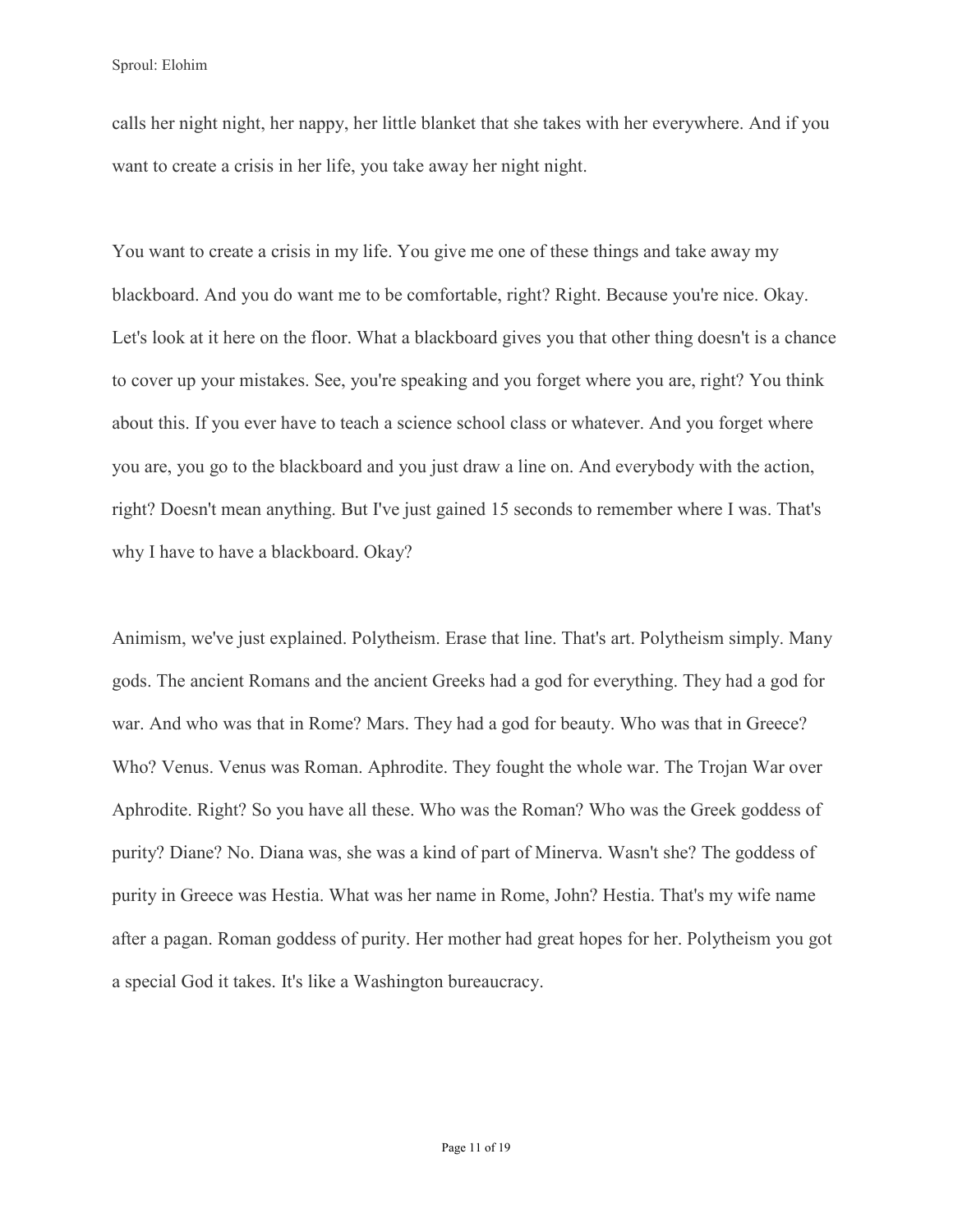calls her night night, her nappy, her little blanket that she takes with her everywhere. And if you want to create a crisis in her life, you take away her night night.

You want to create a crisis in my life. You give me one of these things and take away my blackboard. And you do want me to be comfortable, right? Right. Because you're nice. Okay. Let's look at it here on the floor. What a blackboard gives you that other thing doesn't is a chance to cover up your mistakes. See, you're speaking and you forget where you are, right? You think about this. If you ever have to teach a science school class or whatever. And you forget where you are, you go to the blackboard and you just draw a line on. And everybody with the action, right? Doesn't mean anything. But I've just gained 15 seconds to remember where I was. That's why I have to have a blackboard. Okay?

Animism, we've just explained. Polytheism. Erase that line. That's art. Polytheism simply. Many gods. The ancient Romans and the ancient Greeks had a god for everything. They had a god for war. And who was that in Rome? Mars. They had a god for beauty. Who was that in Greece? Who? Venus. Venus was Roman. Aphrodite. They fought the whole war. The Trojan War over Aphrodite. Right? So you have all these. Who was the Roman? Who was the Greek goddess of purity? Diane? No. Diana was, she was a kind of part of Minerva. Wasn't she? The goddess of purity in Greece was Hestia. What was her name in Rome, John? Hestia. That's my wife name after a pagan. Roman goddess of purity. Her mother had great hopes for her. Polytheism you got a special God it takes. It's like a Washington bureaucracy.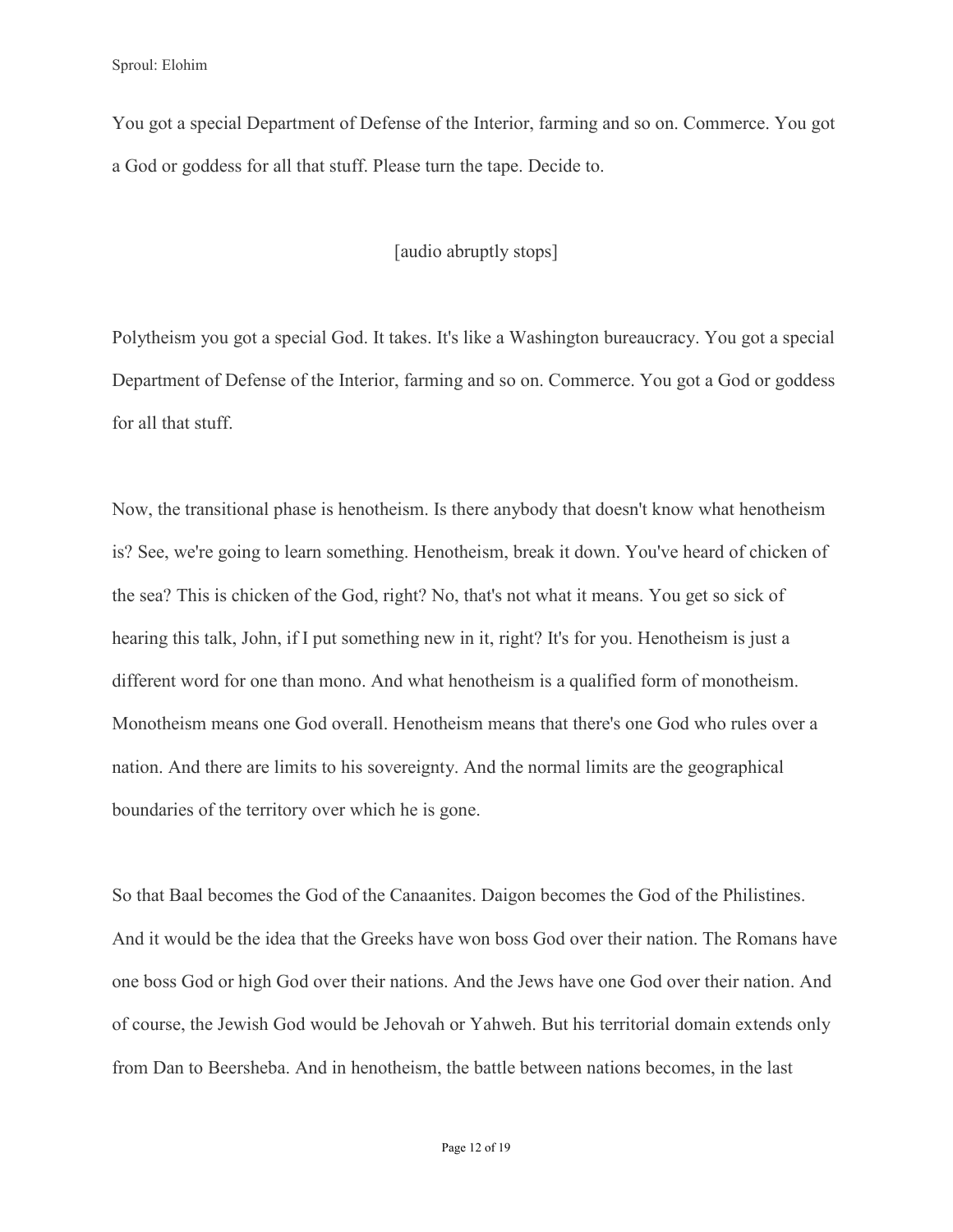You got a special Department of Defense of the Interior, farming and so on. Commerce. You got a God or goddess for all that stuff. Please turn the tape. Decide to.

## [audio abruptly stops]

Polytheism you got a special God. It takes. It's like a Washington bureaucracy. You got a special Department of Defense of the Interior, farming and so on. Commerce. You got a God or goddess for all that stuff.

Now, the transitional phase is henotheism. Is there anybody that doesn't know what henotheism is? See, we're going to learn something. Henotheism, break it down. You've heard of chicken of the sea? This is chicken of the God, right? No, that's not what it means. You get so sick of hearing this talk, John, if I put something new in it, right? It's for you. Henotheism is just a different word for one than mono. And what henotheism is a qualified form of monotheism. Monotheism means one God overall. Henotheism means that there's one God who rules over a nation. And there are limits to his sovereignty. And the normal limits are the geographical boundaries of the territory over which he is gone.

So that Baal becomes the God of the Canaanites. Daigon becomes the God of the Philistines. And it would be the idea that the Greeks have won boss God over their nation. The Romans have one boss God or high God over their nations. And the Jews have one God over their nation. And of course, the Jewish God would be Jehovah or Yahweh. But his territorial domain extends only from Dan to Beersheba. And in henotheism, the battle between nations becomes, in the last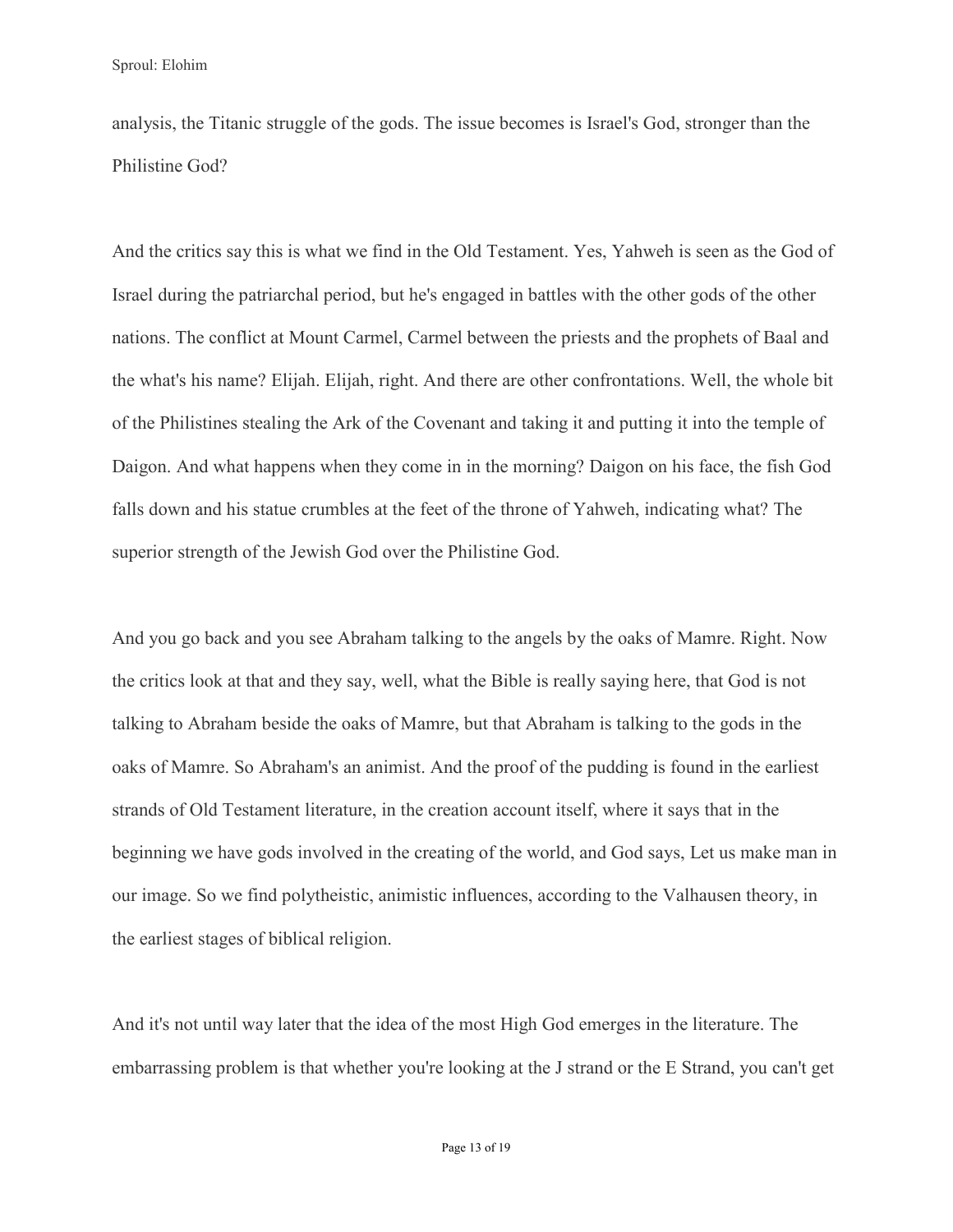analysis, the Titanic struggle of the gods. The issue becomes is Israel's God, stronger than the Philistine God?

And the critics say this is what we find in the Old Testament. Yes, Yahweh is seen as the God of Israel during the patriarchal period, but he's engaged in battles with the other gods of the other nations. The conflict at Mount Carmel, Carmel between the priests and the prophets of Baal and the what's his name? Elijah. Elijah, right. And there are other confrontations. Well, the whole bit of the Philistines stealing the Ark of the Covenant and taking it and putting it into the temple of Daigon. And what happens when they come in in the morning? Daigon on his face, the fish God falls down and his statue crumbles at the feet of the throne of Yahweh, indicating what? The superior strength of the Jewish God over the Philistine God.

And you go back and you see Abraham talking to the angels by the oaks of Mamre. Right. Now the critics look at that and they say, well, what the Bible is really saying here, that God is not talking to Abraham beside the oaks of Mamre, but that Abraham is talking to the gods in the oaks of Mamre. So Abraham's an animist. And the proof of the pudding is found in the earliest strands of Old Testament literature, in the creation account itself, where it says that in the beginning we have gods involved in the creating of the world, and God says, Let us make man in our image. So we find polytheistic, animistic influences, according to the Valhausen theory, in the earliest stages of biblical religion.

And it's not until way later that the idea of the most High God emerges in the literature. The embarrassing problem is that whether you're looking at the J strand or the E Strand, you can't get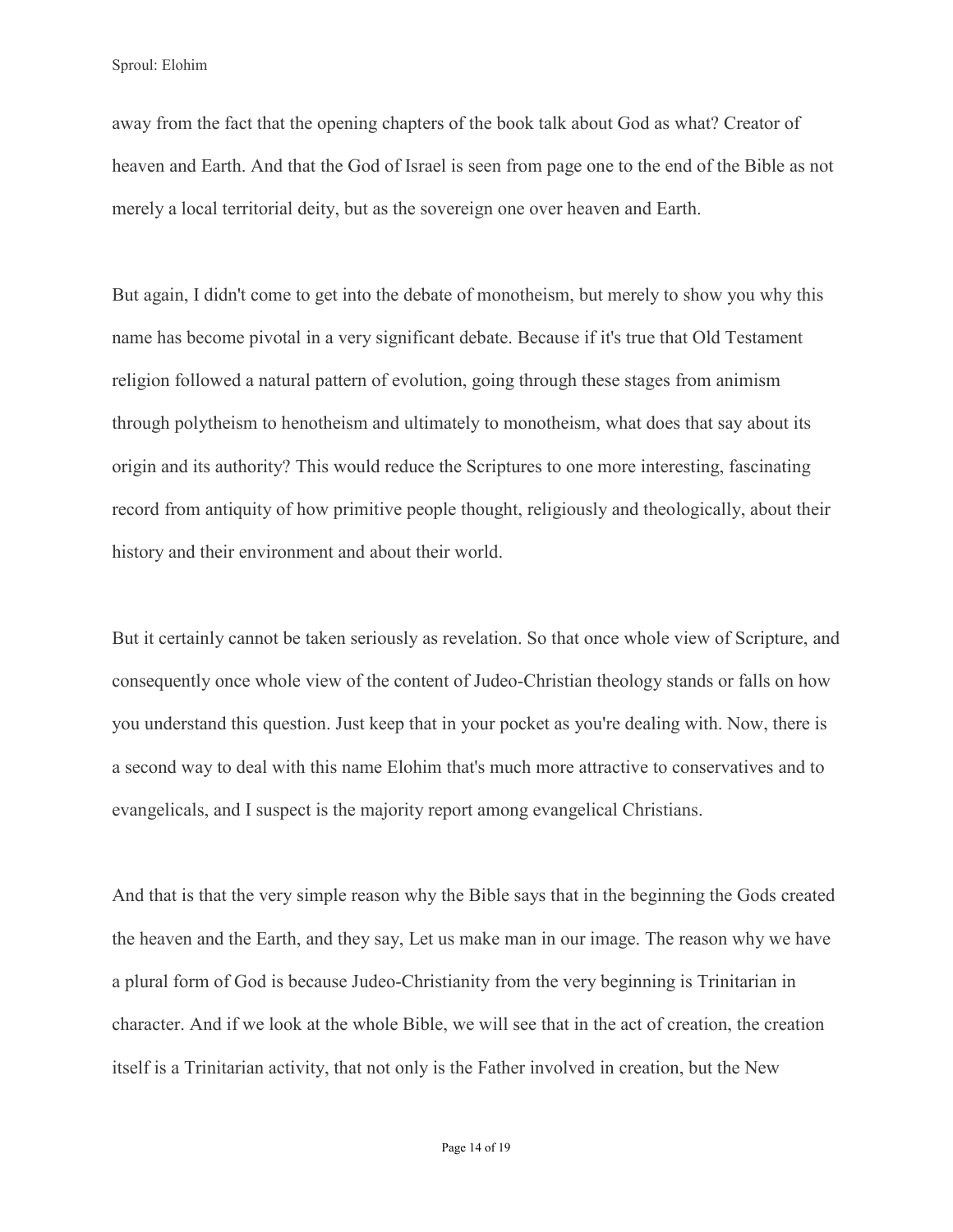away from the fact that the opening chapters of the book talk about God as what? Creator of heaven and Earth. And that the God of Israel is seen from page one to the end of the Bible as not merely a local territorial deity, but as the sovereign one over heaven and Earth.

But again, I didn't come to get into the debate of monotheism, but merely to show you why this name has become pivotal in a very significant debate. Because if it's true that Old Testament religion followed a natural pattern of evolution, going through these stages from animism through polytheism to henotheism and ultimately to monotheism, what does that say about its origin and its authority? This would reduce the Scriptures to one more interesting, fascinating record from antiquity of how primitive people thought, religiously and theologically, about their history and their environment and about their world.

But it certainly cannot be taken seriously as revelation. So that once whole view of Scripture, and consequently once whole view of the content of Judeo-Christian theology stands or falls on how you understand this question. Just keep that in your pocket as you're dealing with. Now, there is a second way to deal with this name Elohim that's much more attractive to conservatives and to evangelicals, and I suspect is the majority report among evangelical Christians.

And that is that the very simple reason why the Bible says that in the beginning the Gods created the heaven and the Earth, and they say, Let us make man in our image. The reason why we have a plural form of God is because Judeo-Christianity from the very beginning is Trinitarian in character. And if we look at the whole Bible, we will see that in the act of creation, the creation itself is a Trinitarian activity, that not only is the Father involved in creation, but the New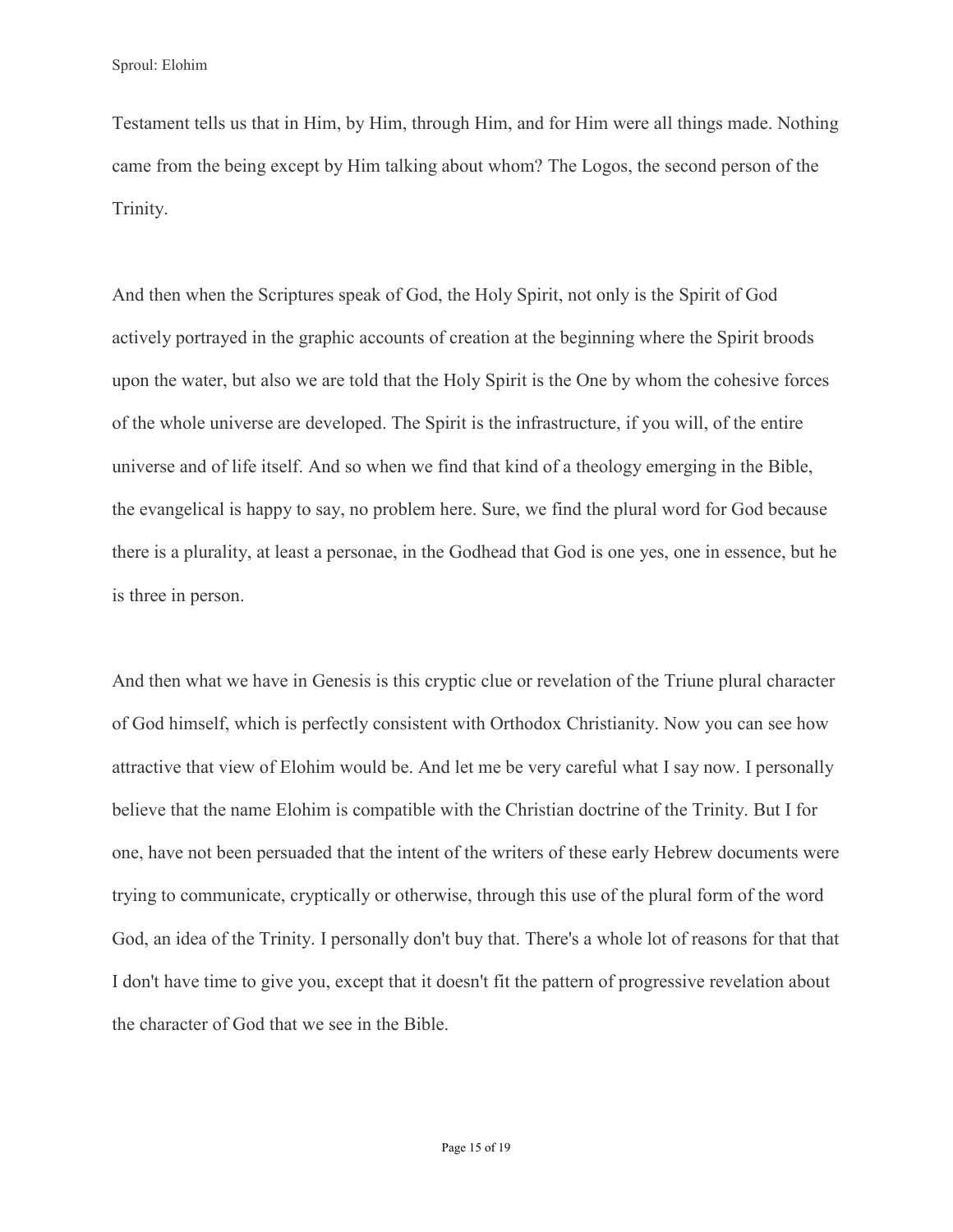Testament tells us that in Him, by Him, through Him, and for Him were all things made. Nothing came from the being except by Him talking about whom? The Logos, the second person of the Trinity.

And then when the Scriptures speak of God, the Holy Spirit, not only is the Spirit of God actively portrayed in the graphic accounts of creation at the beginning where the Spirit broods upon the water, but also we are told that the Holy Spirit is the One by whom the cohesive forces of the whole universe are developed. The Spirit is the infrastructure, if you will, of the entire universe and of life itself. And so when we find that kind of a theology emerging in the Bible, the evangelical is happy to say, no problem here. Sure, we find the plural word for God because there is a plurality, at least a personae, in the Godhead that God is one yes, one in essence, but he is three in person.

And then what we have in Genesis is this cryptic clue or revelation of the Triune plural character of God himself, which is perfectly consistent with Orthodox Christianity. Now you can see how attractive that view of Elohim would be. And let me be very careful what I say now. I personally believe that the name Elohim is compatible with the Christian doctrine of the Trinity. But I for one, have not been persuaded that the intent of the writers of these early Hebrew documents were trying to communicate, cryptically or otherwise, through this use of the plural form of the word God, an idea of the Trinity. I personally don't buy that. There's a whole lot of reasons for that that I don't have time to give you, except that it doesn't fit the pattern of progressive revelation about the character of God that we see in the Bible.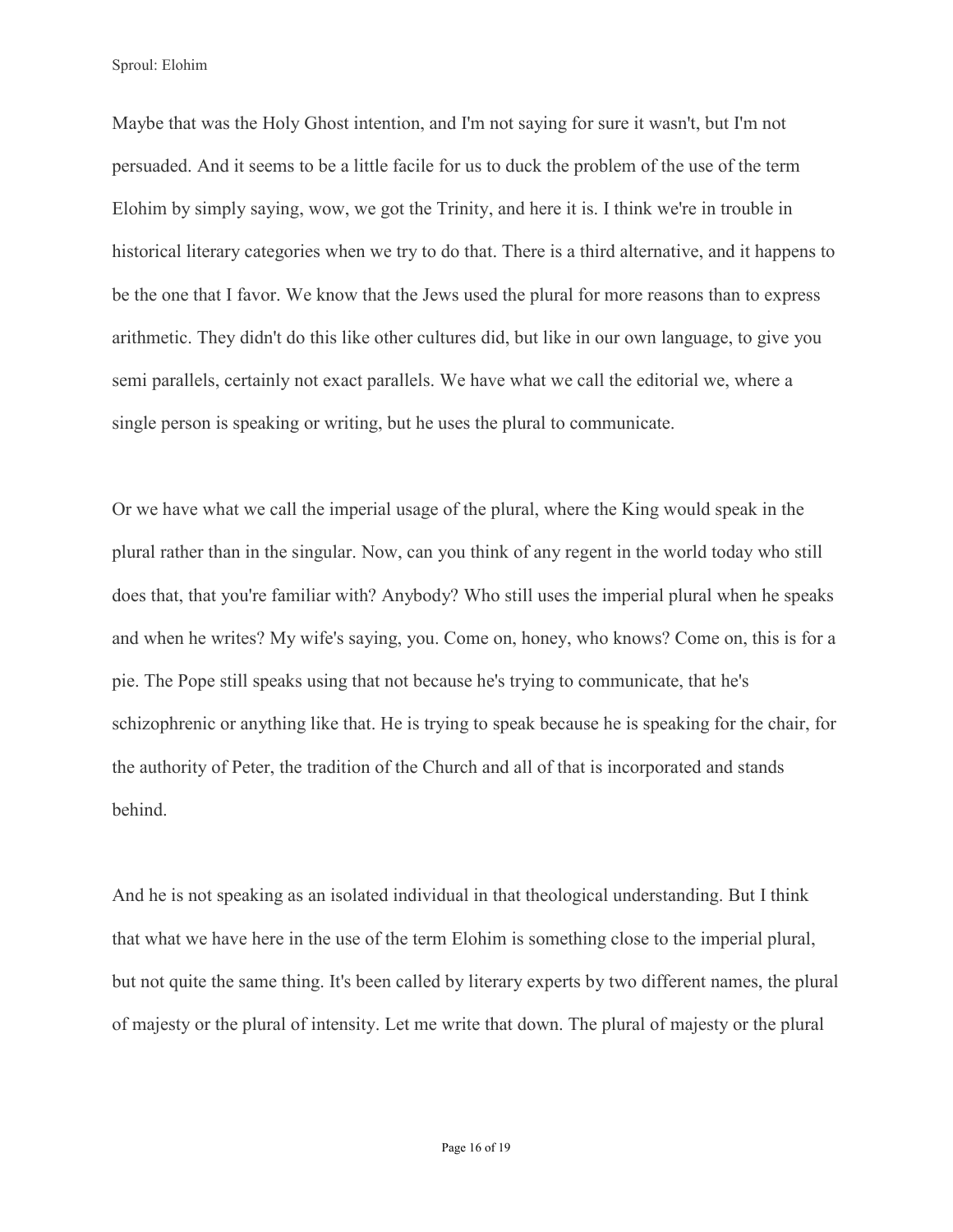Maybe that was the Holy Ghost intention, and I'm not saying for sure it wasn't, but I'm not persuaded. And it seems to be a little facile for us to duck the problem of the use of the term Elohim by simply saying, wow, we got the Trinity, and here it is. I think we're in trouble in historical literary categories when we try to do that. There is a third alternative, and it happens to be the one that I favor. We know that the Jews used the plural for more reasons than to express arithmetic. They didn't do this like other cultures did, but like in our own language, to give you semi parallels, certainly not exact parallels. We have what we call the editorial we, where a single person is speaking or writing, but he uses the plural to communicate.

Or we have what we call the imperial usage of the plural, where the King would speak in the plural rather than in the singular. Now, can you think of any regent in the world today who still does that, that you're familiar with? Anybody? Who still uses the imperial plural when he speaks and when he writes? My wife's saying, you. Come on, honey, who knows? Come on, this is for a pie. The Pope still speaks using that not because he's trying to communicate, that he's schizophrenic or anything like that. He is trying to speak because he is speaking for the chair, for the authority of Peter, the tradition of the Church and all of that is incorporated and stands behind.

And he is not speaking as an isolated individual in that theological understanding. But I think that what we have here in the use of the term Elohim is something close to the imperial plural, but not quite the same thing. It's been called by literary experts by two different names, the plural of majesty or the plural of intensity. Let me write that down. The plural of majesty or the plural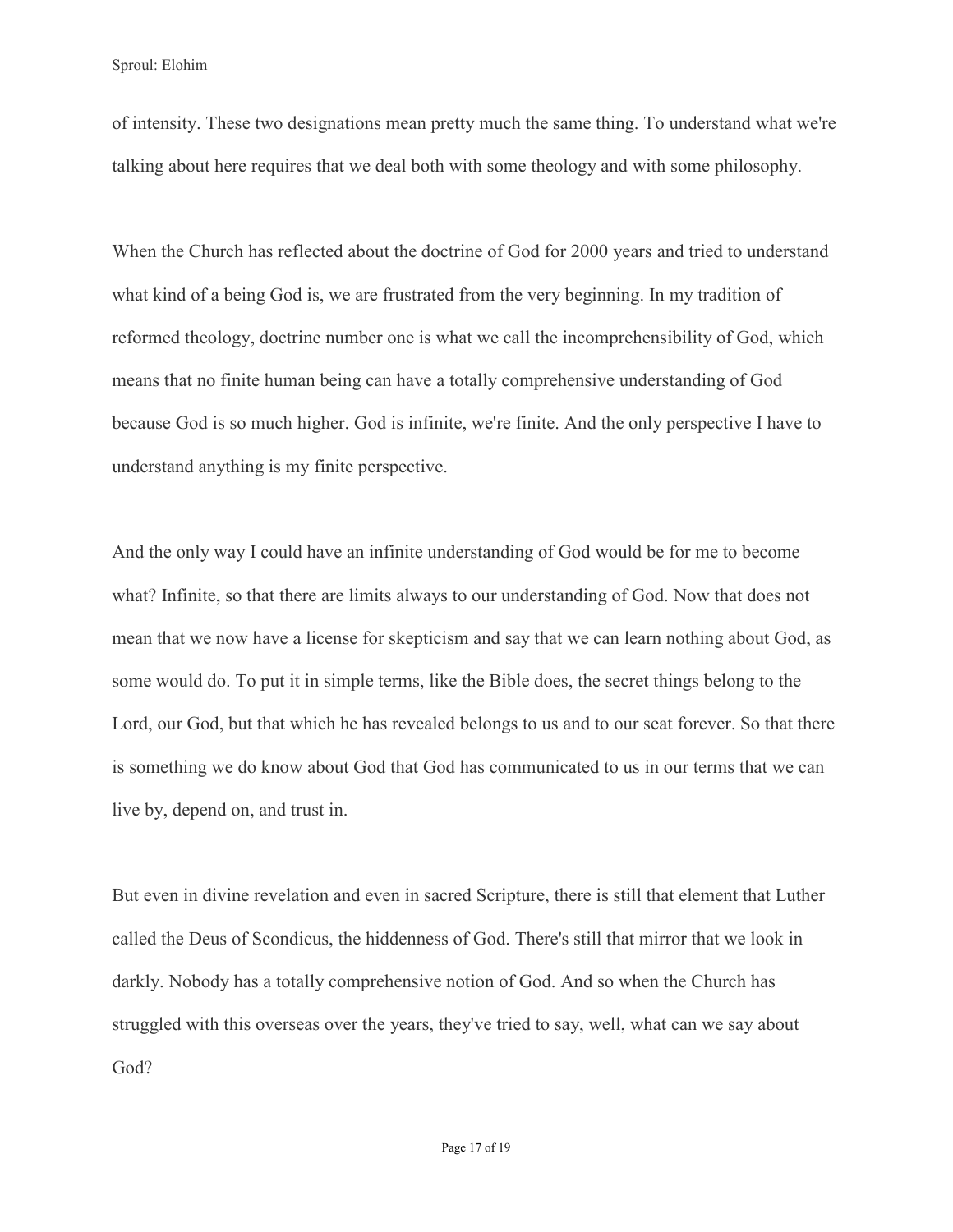of intensity. These two designations mean pretty much the same thing. To understand what we're talking about here requires that we deal both with some theology and with some philosophy.

When the Church has reflected about the doctrine of God for 2000 years and tried to understand what kind of a being God is, we are frustrated from the very beginning. In my tradition of reformed theology, doctrine number one is what we call the incomprehensibility of God, which means that no finite human being can have a totally comprehensive understanding of God because God is so much higher. God is infinite, we're finite. And the only perspective I have to understand anything is my finite perspective.

And the only way I could have an infinite understanding of God would be for me to become what? Infinite, so that there are limits always to our understanding of God. Now that does not mean that we now have a license for skepticism and say that we can learn nothing about God, as some would do. To put it in simple terms, like the Bible does, the secret things belong to the Lord, our God, but that which he has revealed belongs to us and to our seat forever. So that there is something we do know about God that God has communicated to us in our terms that we can live by, depend on, and trust in.

But even in divine revelation and even in sacred Scripture, there is still that element that Luther called the Deus of Scondicus, the hiddenness of God. There's still that mirror that we look in darkly. Nobody has a totally comprehensive notion of God. And so when the Church has struggled with this overseas over the years, they've tried to say, well, what can we say about God?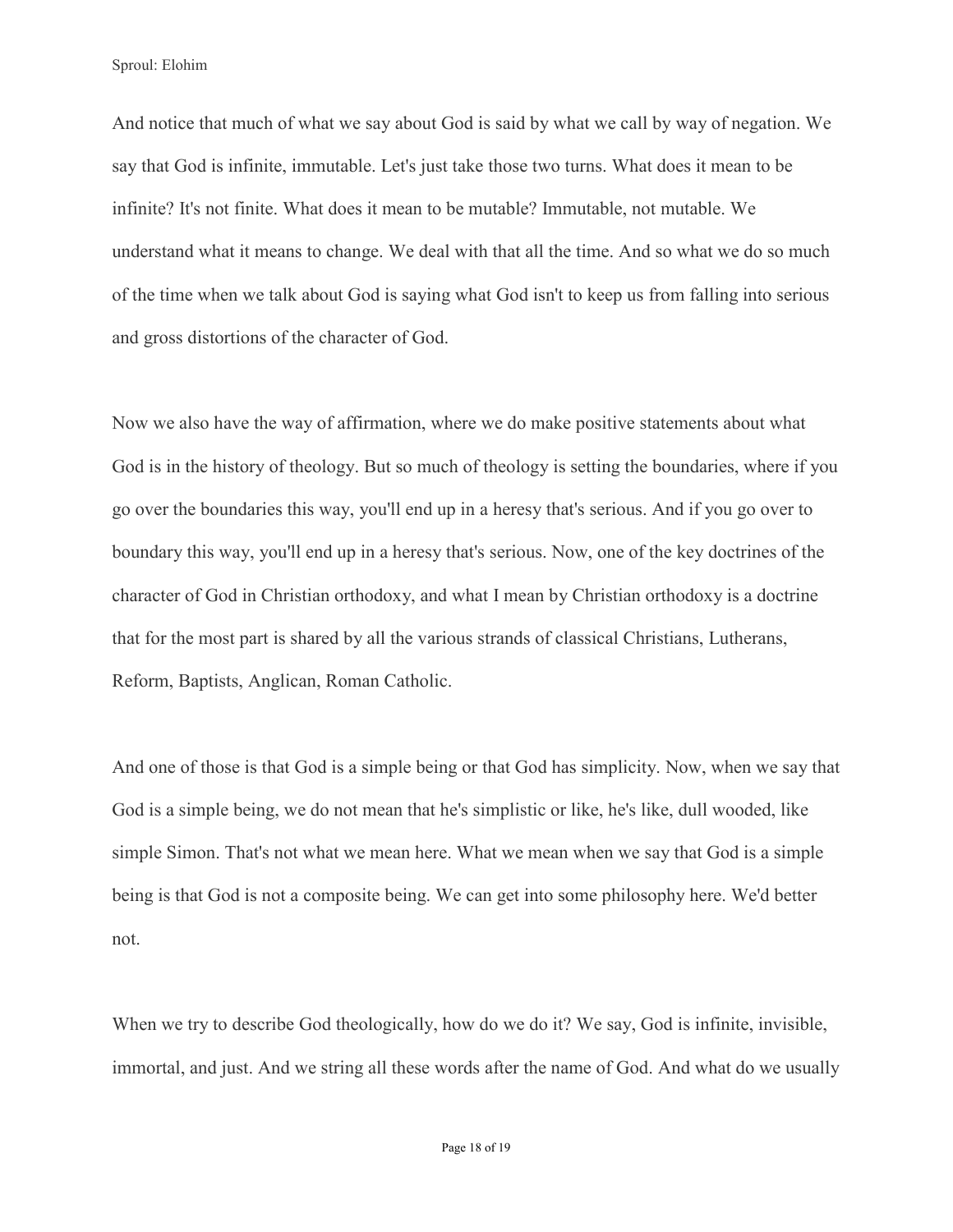And notice that much of what we say about God is said by what we call by way of negation. We say that God is infinite, immutable. Let's just take those two turns. What does it mean to be infinite? It's not finite. What does it mean to be mutable? Immutable, not mutable. We understand what it means to change. We deal with that all the time. And so what we do so much of the time when we talk about God is saying what God isn't to keep us from falling into serious and gross distortions of the character of God.

Now we also have the way of affirmation, where we do make positive statements about what God is in the history of theology. But so much of theology is setting the boundaries, where if you go over the boundaries this way, you'll end up in a heresy that's serious. And if you go over to boundary this way, you'll end up in a heresy that's serious. Now, one of the key doctrines of the character of God in Christian orthodoxy, and what I mean by Christian orthodoxy is a doctrine that for the most part is shared by all the various strands of classical Christians, Lutherans, Reform, Baptists, Anglican, Roman Catholic.

And one of those is that God is a simple being or that God has simplicity. Now, when we say that God is a simple being, we do not mean that he's simplistic or like, he's like, dull wooded, like simple Simon. That's not what we mean here. What we mean when we say that God is a simple being is that God is not a composite being. We can get into some philosophy here. We'd better not.

When we try to describe God theologically, how do we do it? We say, God is infinite, invisible, immortal, and just. And we string all these words after the name of God. And what do we usually